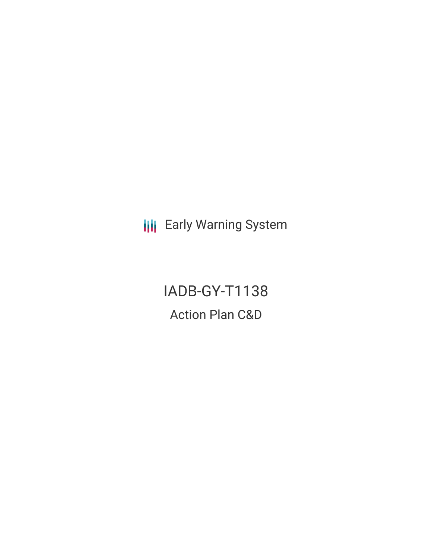**III** Early Warning System

IADB-GY-T1138 Action Plan C&D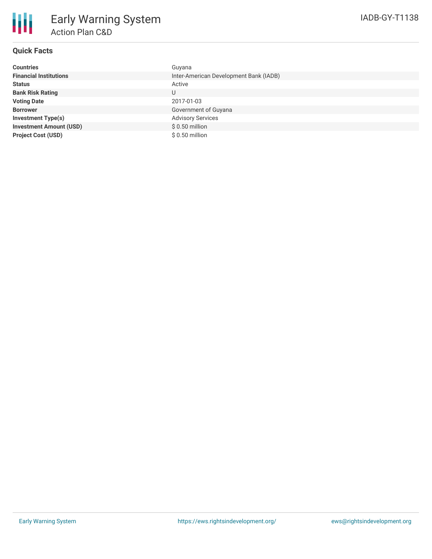

## **Quick Facts**

| <b>Countries</b>               | Guyana                                 |
|--------------------------------|----------------------------------------|
| <b>Financial Institutions</b>  | Inter-American Development Bank (IADB) |
| <b>Status</b>                  | Active                                 |
| <b>Bank Risk Rating</b>        | U                                      |
| <b>Voting Date</b>             | 2017-01-03                             |
| <b>Borrower</b>                | Government of Guyana                   |
| <b>Investment Type(s)</b>      | <b>Advisory Services</b>               |
| <b>Investment Amount (USD)</b> | $$0.50$ million                        |
| <b>Project Cost (USD)</b>      | $$0.50$ million                        |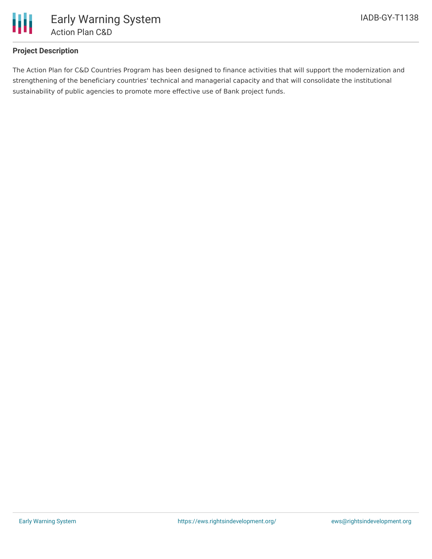

## **Project Description**

The Action Plan for C&D Countries Program has been designed to finance activities that will support the modernization and strengthening of the beneficiary countries' technical and managerial capacity and that will consolidate the institutional sustainability of public agencies to promote more effective use of Bank project funds.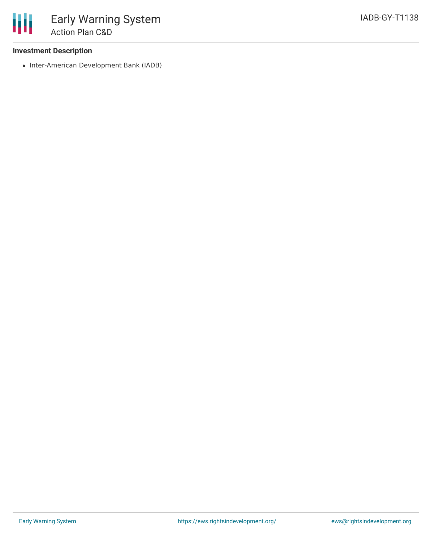• Inter-American Development Bank (IADB)